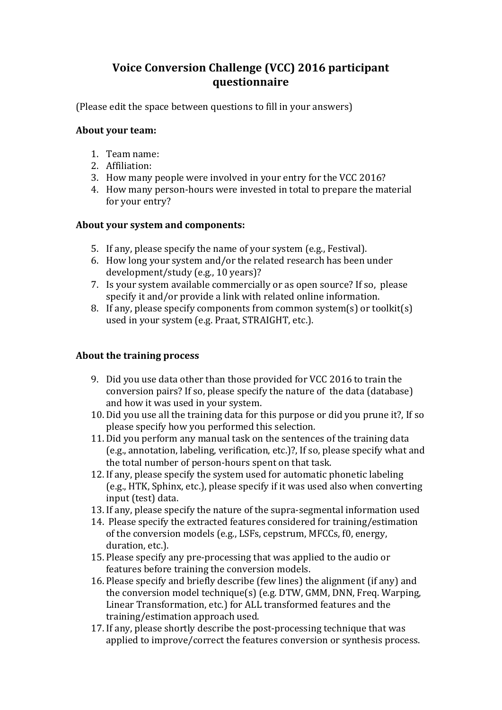# **Voice Conversion Challenge (VCC) 2016 participant questionnaire**

(Please edit the space between questions to fill in your answers)

#### **About your team:**

- 1. Team name:
- 2. Affiliation:
- 3. How many people were involved in your entry for the VCC 2016?
- 4. How many person-hours were invested in total to prepare the material for your entry?

#### **About your system and components:**

- 5. If any, please specify the name of your system (e.g., Festival).
- 6. How long your system and/or the related research has been under development/study (e.g., 10 years)?
- 7. Is your system available commercially or as open source? If so, please specify it and/or provide a link with related online information.
- 8. If any, please specify components from common system(s) or toolkit(s) used in your system (e.g. Praat, STRAIGHT, etc.).

## **About the training process**

- 9. Did you use data other than those provided for VCC 2016 to train the conversion pairs? If so, please specify the nature of the data (database) and how it was used in your system.
- 10. Did you use all the training data for this purpose or did you prune it?, If so please specify how you performed this selection.
- 11. Did you perform any manual task on the sentences of the training data (e.g., annotation, labeling, verification, etc.)?, If so, please specify what and the total number of person-hours spent on that task.
- 12. If any, please specify the system used for automatic phonetic labeling (e.g., HTK, Sphinx, etc.), please specify if it was used also when converting input (test) data.
- 13. If any, please specify the nature of the supra-segmental information used
- 14. Please specify the extracted features considered for training/estimation of the conversion models (e.g., LSFs, cepstrum, MFCCs, f0, energy, duration, etc.).
- 15. Please specify any pre-processing that was applied to the audio or features before training the conversion models.
- 16. Please specify and briefly describe (few lines) the alignment (if any) and the conversion model technique(s) (e.g.  $DTW$ ,  $GMM$ ,  $DNN$ , Freq. Warping, Linear Transformation, etc.) for ALL transformed features and the training/estimation approach used.
- 17. If any, please shortly describe the post-processing technique that was applied to improve/correct the features conversion or synthesis process.